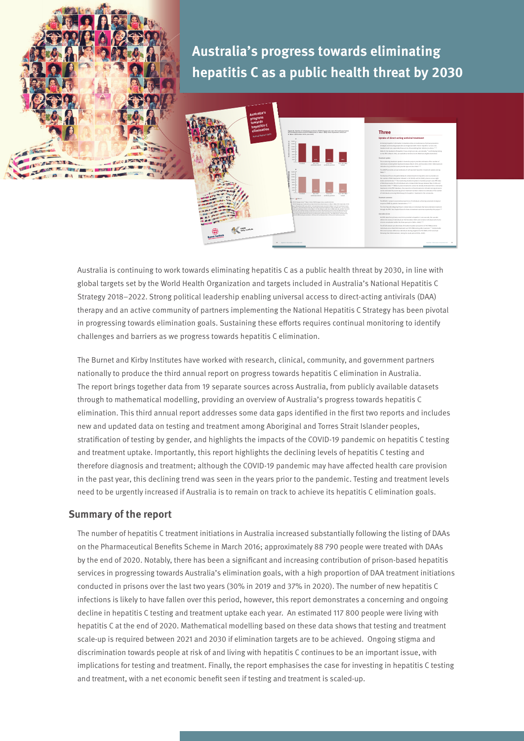**Australia's progress towards eliminating hepatitis C as a public health threat by 2030**



**Three Uptake of direct-acting antiviral treatment** treatment and cure, especially those at risk of transmitting their infection to others.(21–2 the number of DAA treatments initiated in 103 (2019) and 94 (2020) prisons across eight states and territories.(26) The monitoring treatment uptake in Australia project uses PBS data treatments in the PBS database, the proportion of total treatments initiated among prisoners individuals prescribed DAA treatment) and HCV RNA testing after treatment.(17) Undetectable HCV viral load was defined as individuals testing negative for HCV RNA or HCV viral load

Australia is continuing to work towards eliminating hepatitis C as a public health threat by 2030, in line with global targets set by the World Health Organization and targets included in Australia's National Hepatitis C Strategy 2018–2022. Strong political leadership enabling universal access to direct-acting antivirals (DAA) therapy and an active community of partners implementing the National Hepatitis C Strategy has been pivotal in progressing towards elimination goals. Sustaining these efforts requires continual monitoring to identify challenges and barriers as we progress towards hepatitis C elimination.

The Burnet and Kirby Institutes have worked with research, clinical, community, and government partners nationally to produce the third annual report on progress towards hepatitis C elimination in Australia. The report brings together data from 19 separate sources across Australia, from publicly available datasets through to mathematical modelling, providing an overview of Australia's progress towards hepatitis C elimination. This third annual report addresses some data gaps identified in the first two reports and includes new and updated data on testing and treatment among Aboriginal and Torres Strait Islander peoples, stratification of testing by gender, and highlights the impacts of the COVID-19 pandemic on hepatitis C testing and treatment uptake. Importantly, this report highlights the declining levels of hepatitis C testing and therefore diagnosis and treatment; although the COVID-19 pandemic may have affected health care provision in the past year, this declining trend was seen in the years prior to the pandemic. Testing and treatment levels need to be urgently increased if Australia is to remain on track to achieve its hepatitis C elimination goals.

## **Summary of the report**

The number of hepatitis C treatment initiations in Australia increased substantially following the listing of DAAs on the Pharmaceutical Benefits Scheme in March 2016; approximately 88 790 people were treated with DAAs by the end of 2020. Notably, there has been a significant and increasing contribution of prison-based hepatitis services in progressing towards Australia's elimination goals, with a high proportion of DAA treatment initiations conducted in prisons over the last two years (30% in 2019 and 37% in 2020). The number of new hepatitis C infections is likely to have fallen over this period, however, this report demonstrates a concerning and ongoing decline in hepatitis C testing and treatment uptake each year. An estimated 117 800 people were living with hepatitis C at the end of 2020. Mathematical modelling based on these data shows that testing and treatment scale-up is required between 2021 and 2030 if elimination targets are to be achieved. Ongoing stigma and discrimination towards people at risk of and living with hepatitis C continues to be an important issue, with implications for testing and treatment. Finally, the report emphasises the case for investing in hepatitis C testing **Alternal is continuing to work towards eliminating hepatitis C as a public health the political sizes are by the World Health Organization and targets included in Australia's C and a public beach to the World Health Organ**